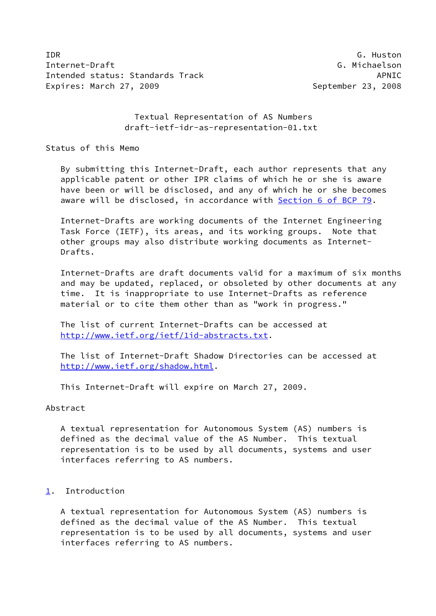IDR G. Huston Internet-Draft G. Michaelson Intended status: Standards Track APNIC Expires: March 27, 2009 **September 23, 2008** 

# Textual Representation of AS Numbers draft-ietf-idr-as-representation-01.txt

Status of this Memo

 By submitting this Internet-Draft, each author represents that any applicable patent or other IPR claims of which he or she is aware have been or will be disclosed, and any of which he or she becomes aware will be disclosed, in accordance with Section [6 of BCP 79.](https://datatracker.ietf.org/doc/pdf/bcp79#section-6)

 Internet-Drafts are working documents of the Internet Engineering Task Force (IETF), its areas, and its working groups. Note that other groups may also distribute working documents as Internet- Drafts.

 Internet-Drafts are draft documents valid for a maximum of six months and may be updated, replaced, or obsoleted by other documents at any time. It is inappropriate to use Internet-Drafts as reference material or to cite them other than as "work in progress."

 The list of current Internet-Drafts can be accessed at <http://www.ietf.org/ietf/1id-abstracts.txt>.

 The list of Internet-Draft Shadow Directories can be accessed at <http://www.ietf.org/shadow.html>.

This Internet-Draft will expire on March 27, 2009.

Abstract

 A textual representation for Autonomous System (AS) numbers is defined as the decimal value of the AS Number. This textual representation is to be used by all documents, systems and user interfaces referring to AS numbers.

# <span id="page-0-0"></span>[1](#page-0-0). Introduction

 A textual representation for Autonomous System (AS) numbers is defined as the decimal value of the AS Number. This textual representation is to be used by all documents, systems and user interfaces referring to AS numbers.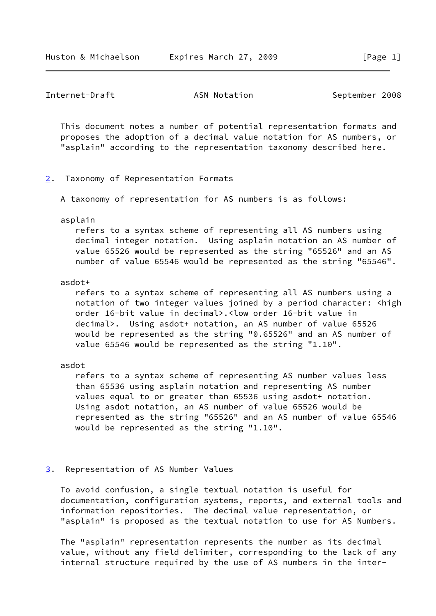### Internet-Draft **ASN Notation** ASN Notation September 2008

 This document notes a number of potential representation formats and proposes the adoption of a decimal value notation for AS numbers, or "asplain" according to the representation taxonomy described here.

<span id="page-1-0"></span>[2](#page-1-0). Taxonomy of Representation Formats

A taxonomy of representation for AS numbers is as follows:

#### asplain

 refers to a syntax scheme of representing all AS numbers using decimal integer notation. Using asplain notation an AS number of value 65526 would be represented as the string "65526" and an AS number of value 65546 would be represented as the string "65546".

## asdot+

 refers to a syntax scheme of representing all AS numbers using a notation of two integer values joined by a period character: <high order 16-bit value in decimal>.<low order 16-bit value in decimal>. Using asdot+ notation, an AS number of value 65526 would be represented as the string "0.65526" and an AS number of value 65546 would be represented as the string "1.10".

asdot

 refers to a syntax scheme of representing AS number values less than 65536 using asplain notation and representing AS number values equal to or greater than 65536 using asdot+ notation. Using asdot notation, an AS number of value 65526 would be represented as the string "65526" and an AS number of value 65546 would be represented as the string "1.10".

## <span id="page-1-1"></span>[3](#page-1-1). Representation of AS Number Values

 To avoid confusion, a single textual notation is useful for documentation, configuration systems, reports, and external tools and information repositories. The decimal value representation, or "asplain" is proposed as the textual notation to use for AS Numbers.

 The "asplain" representation represents the number as its decimal value, without any field delimiter, corresponding to the lack of any internal structure required by the use of AS numbers in the inter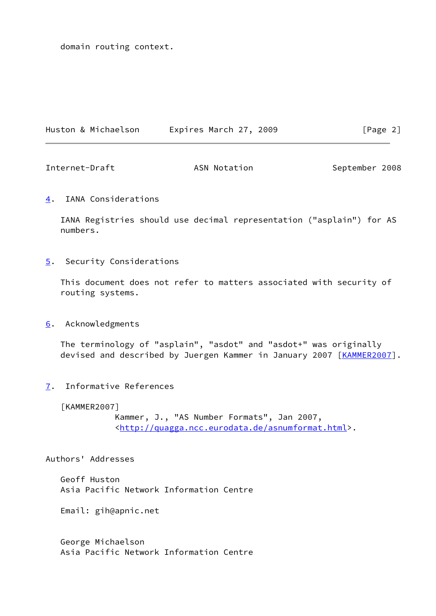domain routing context.

| Huston & Michaelson | Expires March 27, 2009 | [Page 2] |
|---------------------|------------------------|----------|
|---------------------|------------------------|----------|

Internet-Draft ASN Notation ASN Notation September 2008

<span id="page-2-0"></span>[4](#page-2-0). IANA Considerations

 IANA Registries should use decimal representation ("asplain") for AS numbers.

<span id="page-2-1"></span>[5](#page-2-1). Security Considerations

 This document does not refer to matters associated with security of routing systems.

<span id="page-2-2"></span>[6](#page-2-2). Acknowledgments

 The terminology of "asplain", "asdot" and "asdot+" was originally devised and described by Juergen Kammer in January 2007 [\[KAMMER2007\]](#page-2-3).

<span id="page-2-4"></span>[7](#page-2-4). Informative References

<span id="page-2-3"></span>[KAMMER2007]

 Kammer, J., "AS Number Formats", Jan 2007, <<http://quagga.ncc.eurodata.de/asnumformat.html>>.

Authors' Addresses

 Geoff Huston Asia Pacific Network Information Centre

Email: gih@apnic.net

 George Michaelson Asia Pacific Network Information Centre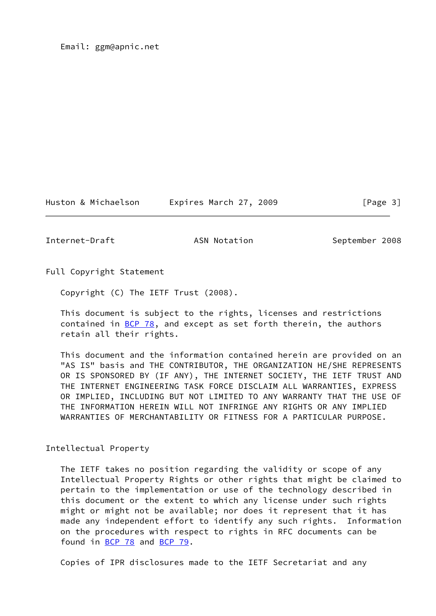Huston & Michaelson Expires March 27, 2009 [Page 3]

Internet-Draft ASN Notation September 2008

Full Copyright Statement

Copyright (C) The IETF Trust (2008).

 This document is subject to the rights, licenses and restrictions contained in  $BCP$  78, and except as set forth therein, the authors retain all their rights.

 This document and the information contained herein are provided on an "AS IS" basis and THE CONTRIBUTOR, THE ORGANIZATION HE/SHE REPRESENTS OR IS SPONSORED BY (IF ANY), THE INTERNET SOCIETY, THE IETF TRUST AND THE INTERNET ENGINEERING TASK FORCE DISCLAIM ALL WARRANTIES, EXPRESS OR IMPLIED, INCLUDING BUT NOT LIMITED TO ANY WARRANTY THAT THE USE OF THE INFORMATION HEREIN WILL NOT INFRINGE ANY RIGHTS OR ANY IMPLIED WARRANTIES OF MERCHANTABILITY OR FITNESS FOR A PARTICULAR PURPOSE.

Intellectual Property

 The IETF takes no position regarding the validity or scope of any Intellectual Property Rights or other rights that might be claimed to pertain to the implementation or use of the technology described in this document or the extent to which any license under such rights might or might not be available; nor does it represent that it has made any independent effort to identify any such rights. Information on the procedures with respect to rights in RFC documents can be found in [BCP 78](https://datatracker.ietf.org/doc/pdf/bcp78) and [BCP 79](https://datatracker.ietf.org/doc/pdf/bcp79).

Copies of IPR disclosures made to the IETF Secretariat and any